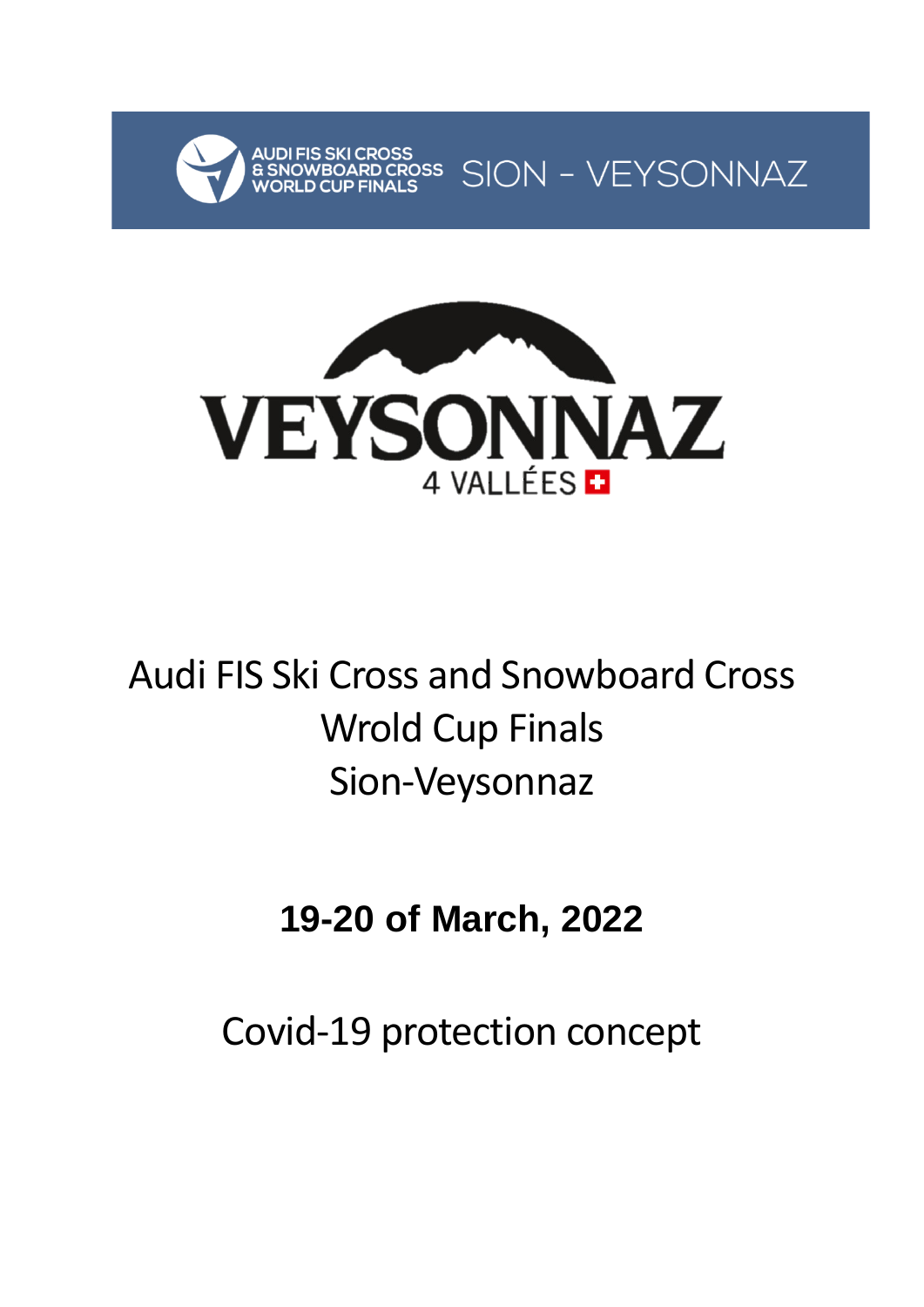



# Audi FIS Ski Cross and Snowboard Cross Wrold Cup Finals Sion-Veysonnaz

# **19-20 of March, 2022**

Covid-19 protection concept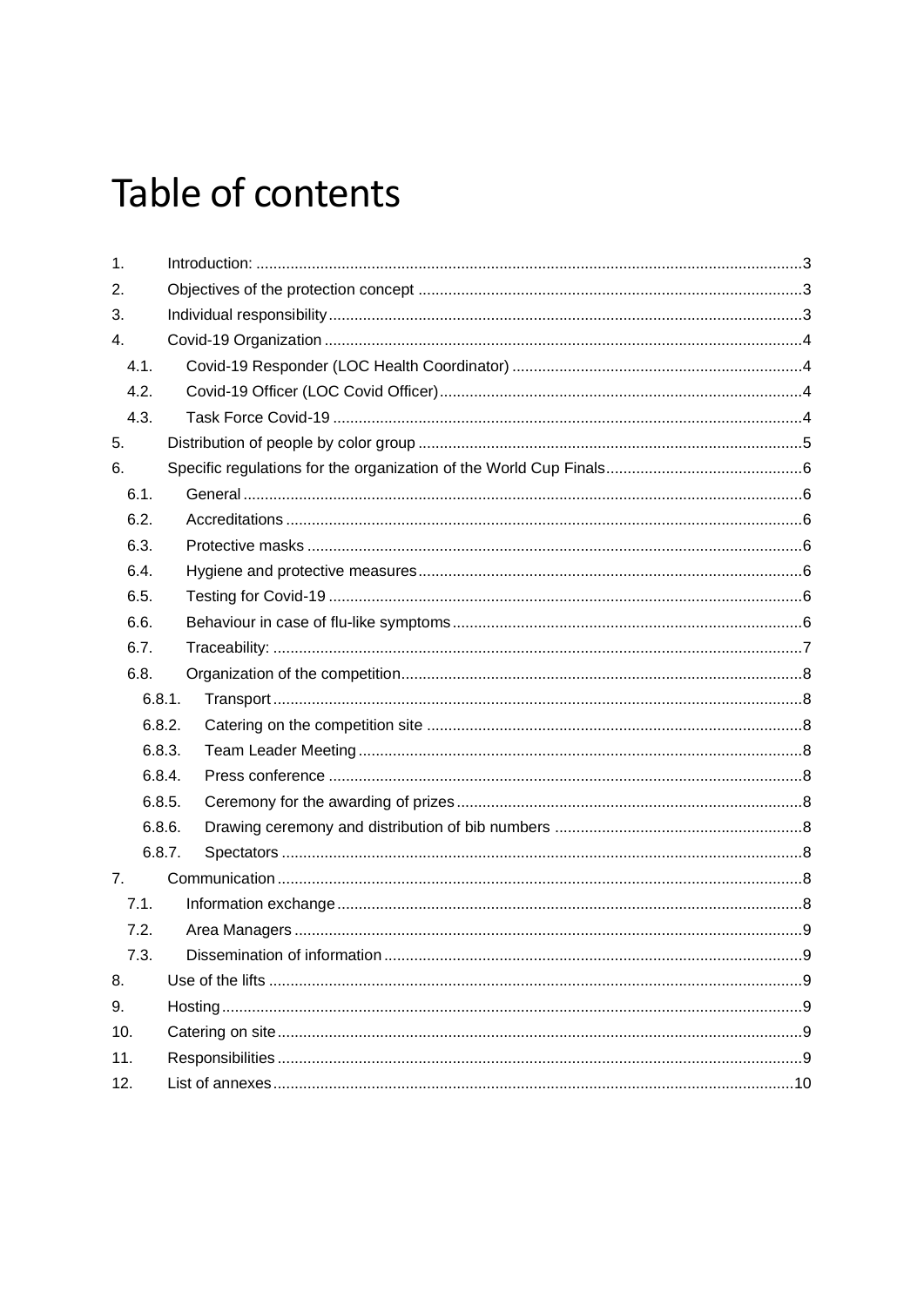# Table of contents

| 1.  |        |  |  |  |
|-----|--------|--|--|--|
| 2.  |        |  |  |  |
| 3.  |        |  |  |  |
| 4.  |        |  |  |  |
|     | 4.1.   |  |  |  |
|     | 4.2.   |  |  |  |
|     | 4.3.   |  |  |  |
| 5.  |        |  |  |  |
| 6.  |        |  |  |  |
|     | 6.1.   |  |  |  |
|     | 6.2.   |  |  |  |
|     | 6.3.   |  |  |  |
|     | 6.4.   |  |  |  |
|     | 6.5.   |  |  |  |
|     | 6.6.   |  |  |  |
|     | 6.7.   |  |  |  |
|     | 6.8.   |  |  |  |
|     | 6.8.1. |  |  |  |
|     | 6.8.2. |  |  |  |
|     | 6.8.3. |  |  |  |
|     | 6.8.4. |  |  |  |
|     | 6.8.5. |  |  |  |
|     | 6.8.6. |  |  |  |
|     | 6.8.7. |  |  |  |
| 7.  |        |  |  |  |
|     | 7.1.   |  |  |  |
|     | 7.2.   |  |  |  |
|     | 7.3.   |  |  |  |
| 8.  |        |  |  |  |
| 9.  |        |  |  |  |
| 10. |        |  |  |  |
| 11. |        |  |  |  |
| 12. |        |  |  |  |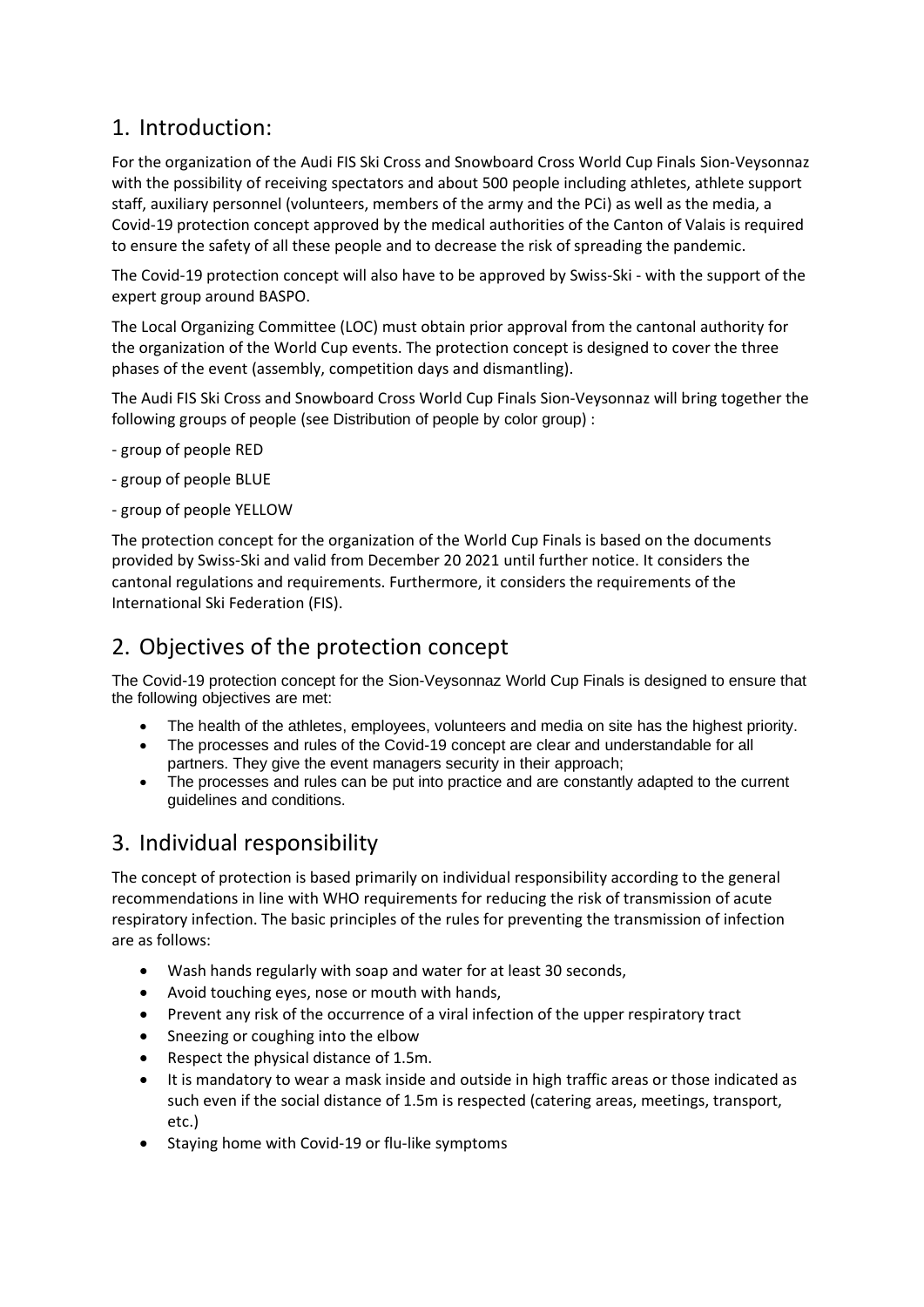## <span id="page-2-0"></span>1. Introduction:

For the organization of the Audi FIS Ski Cross and Snowboard Cross World Cup Finals Sion-Veysonnaz with the possibility of receiving spectators and about 500 people including athletes, athlete support staff, auxiliary personnel (volunteers, members of the army and the PCi) as well as the media, a Covid-19 protection concept approved by the medical authorities of the Canton of Valais is required to ensure the safety of all these people and to decrease the risk of spreading the pandemic.

The Covid-19 protection concept will also have to be approved by Swiss-Ski - with the support of the expert group around BASPO.

The Local Organizing Committee (LOC) must obtain prior approval from the cantonal authority for the organization of the World Cup events. The protection concept is designed to cover the three phases of the event (assembly, competition days and dismantling).

The Audi FIS Ski Cross and Snowboard Cross World Cup Finals Sion-Veysonnaz will bring together the following groups of people (see [Distribution of people by color group](#page-4-0)) :

- group of people RED
- group of people BLUE
- group of people YELLOW

The protection concept for the organization of the World Cup Finals is based on the documents provided by Swiss-Ski and valid from December 20 2021 until further notice. It considers the cantonal regulations and requirements. Furthermore, it considers the requirements of the International Ski Federation (FIS).

## <span id="page-2-1"></span>2. Objectives of the protection concept

The Covid-19 protection concept for the Sion-Veysonnaz World Cup Finals is designed to ensure that the following objectives are met:

- The health of the athletes, employees, volunteers and media on site has the highest priority.
- The processes and rules of the Covid-19 concept are clear and understandable for all partners. They give the event managers security in their approach;
- The processes and rules can be put into practice and are constantly adapted to the current guidelines and conditions.

## <span id="page-2-2"></span>3. Individual responsibility

The concept of protection is based primarily on individual responsibility according to the general recommendations in line with WHO requirements for reducing the risk of transmission of acute respiratory infection. The basic principles of the rules for preventing the transmission of infection are as follows:

- Wash hands regularly with soap and water for at least 30 seconds,
- Avoid touching eyes, nose or mouth with hands,
- Prevent any risk of the occurrence of a viral infection of the upper respiratory tract
- Sneezing or coughing into the elbow
- Respect the physical distance of 1.5m.
- It is mandatory to wear a mask inside and outside in high traffic areas or those indicated as such even if the social distance of 1.5m is respected (catering areas, meetings, transport, etc.)
- Staying home with Covid-19 or flu-like symptoms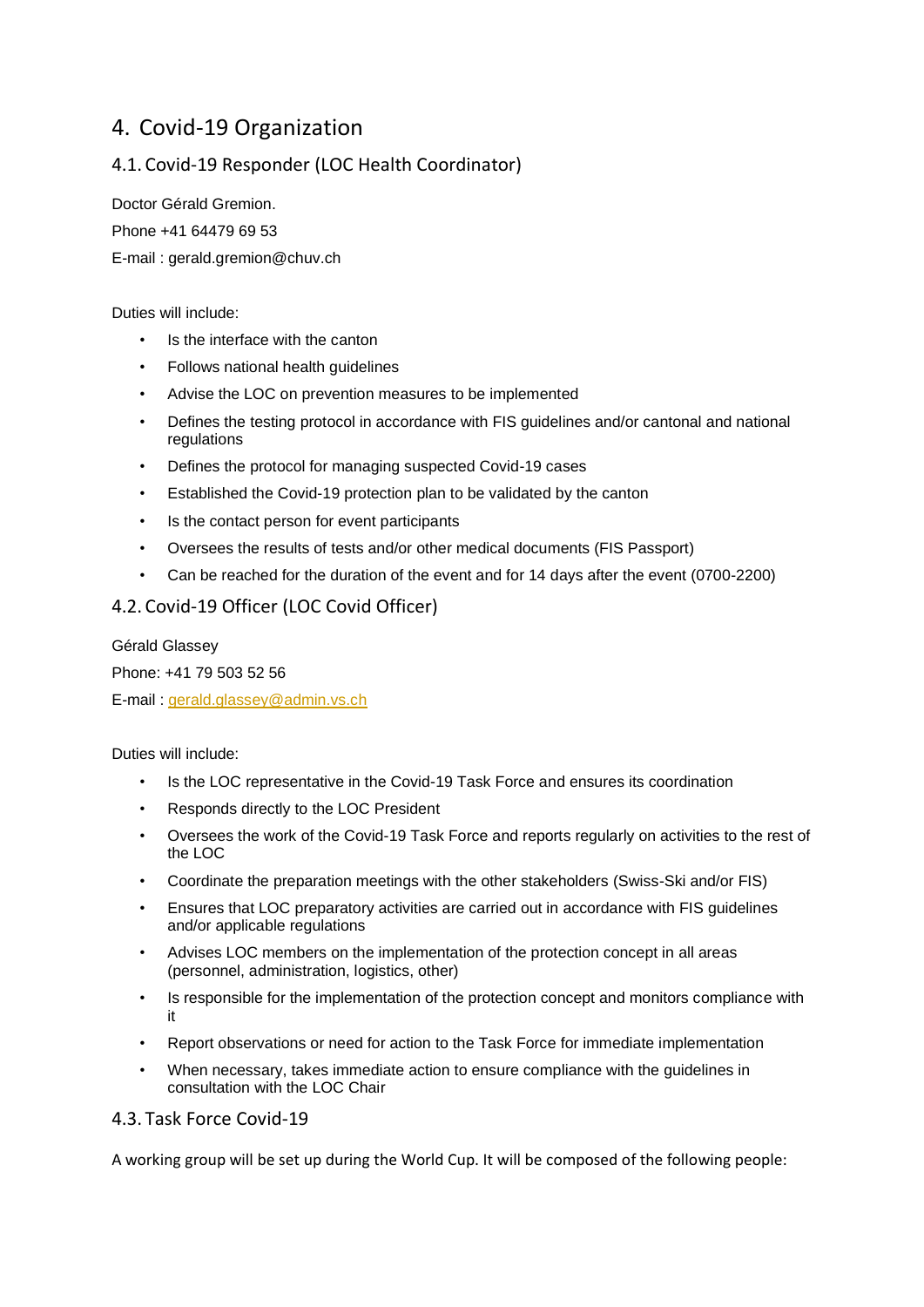## <span id="page-3-0"></span>4. Covid-19 Organization

### <span id="page-3-1"></span>4.1. Covid-19 Responder (LOC Health Coordinator)

Doctor Gérald Gremion.

Phone +41 64479 69 53

E-mail : gerald.gremion@chuv.ch

Duties will include:

- Is the interface with the canton
- Follows national health guidelines
- Advise the LOC on prevention measures to be implemented
- Defines the testing protocol in accordance with FIS guidelines and/or cantonal and national regulations
- Defines the protocol for managing suspected Covid-19 cases
- Established the Covid-19 protection plan to be validated by the canton
- Is the contact person for event participants
- Oversees the results of tests and/or other medical documents (FIS Passport)
- Can be reached for the duration of the event and for 14 days after the event (0700-2200)

#### <span id="page-3-2"></span>4.2. Covid-19 Officer (LOC Covid Officer)

Gérald Glassey

Phone: +41 79 503 52 56

E-mail : [gerald.glassey@admin.vs.ch](mailto:gerald.glassey@admin.vs.ch)

Duties will include:

- Is the LOC representative in the Covid-19 Task Force and ensures its coordination
- Responds directly to the LOC President
- Oversees the work of the Covid-19 Task Force and reports regularly on activities to the rest of the LOC
- Coordinate the preparation meetings with the other stakeholders (Swiss-Ski and/or FIS)
- Ensures that LOC preparatory activities are carried out in accordance with FIS guidelines and/or applicable regulations
- Advises LOC members on the implementation of the protection concept in all areas (personnel, administration, logistics, other)
- Is responsible for the implementation of the protection concept and monitors compliance with it
- Report observations or need for action to the Task Force for immediate implementation
- When necessary, takes immediate action to ensure compliance with the guidelines in consultation with the LOC Chair

#### <span id="page-3-3"></span>4.3. Task Force Covid-19

A working group will be set up during the World Cup. It will be composed of the following people: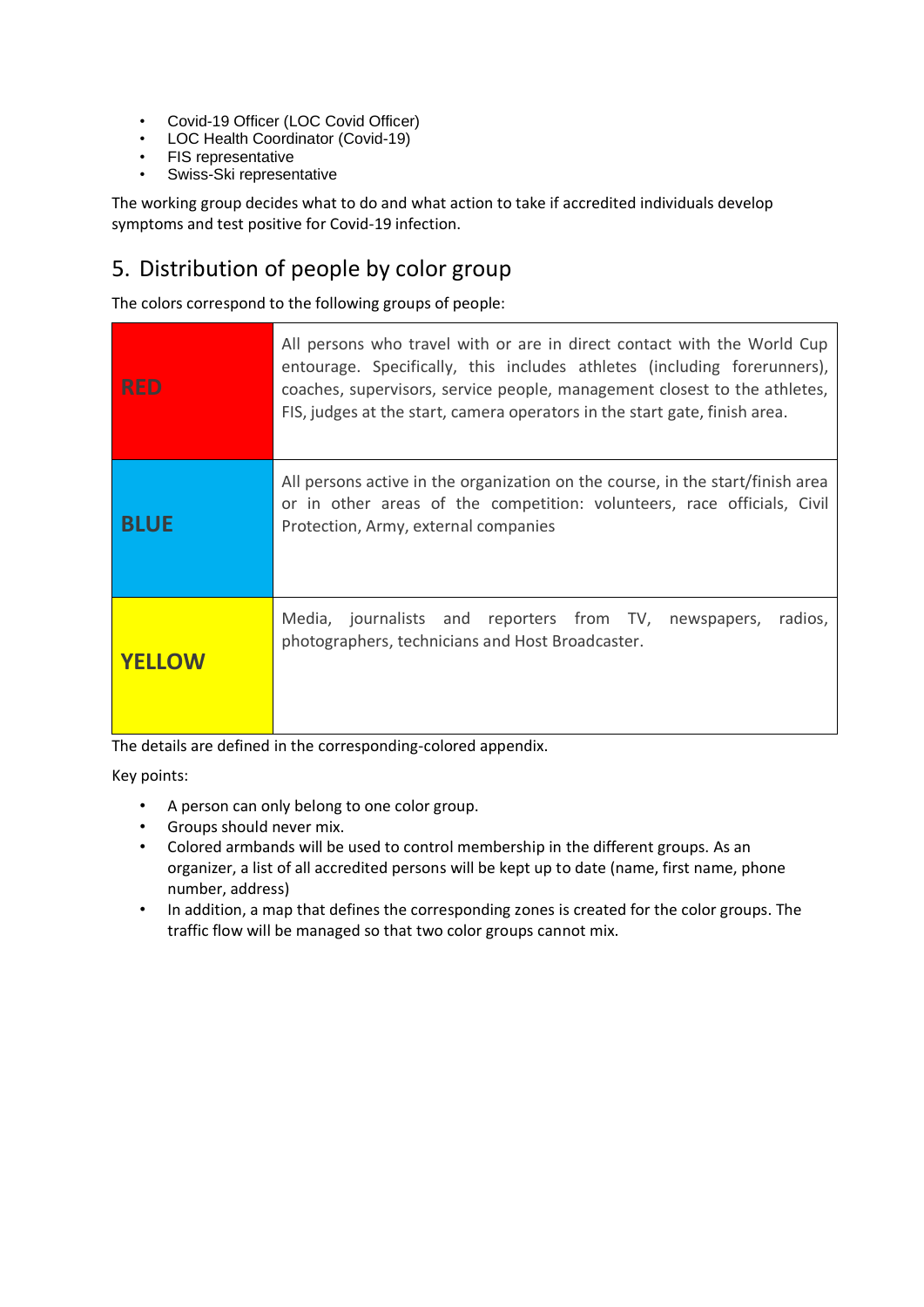- Covid-19 Officer (LOC Covid Officer)
- LOC Health Coordinator (Covid-19)
- FIS representative
- Swiss-Ski representative

The working group decides what to do and what action to take if accredited individuals develop symptoms and test positive for Covid-19 infection.

## <span id="page-4-0"></span>5. Distribution of people by color group

The colors correspond to the following groups of people:

| <b>RED</b>    | All persons who travel with or are in direct contact with the World Cup<br>entourage. Specifically, this includes athletes (including forerunners),<br>coaches, supervisors, service people, management closest to the athletes,<br>FIS, judges at the start, camera operators in the start gate, finish area. |
|---------------|----------------------------------------------------------------------------------------------------------------------------------------------------------------------------------------------------------------------------------------------------------------------------------------------------------------|
| <b>BLUE</b>   | All persons active in the organization on the course, in the start/finish area<br>or in other areas of the competition: volunteers, race officials, Civil<br>Protection, Army, external companies                                                                                                              |
| <b>YELLOW</b> | Media, journalists and reporters from TV, newspapers,<br>radios,<br>photographers, technicians and Host Broadcaster.                                                                                                                                                                                           |

The details are defined in the corresponding-colored appendix.

Key points:

- A person can only belong to one color group.
- Groups should never mix.
- Colored armbands will be used to control membership in the different groups. As an organizer, a list of all accredited persons will be kept up to date (name, first name, phone number, address)
- In addition, a map that defines the corresponding zones is created for the color groups. The traffic flow will be managed so that two color groups cannot mix.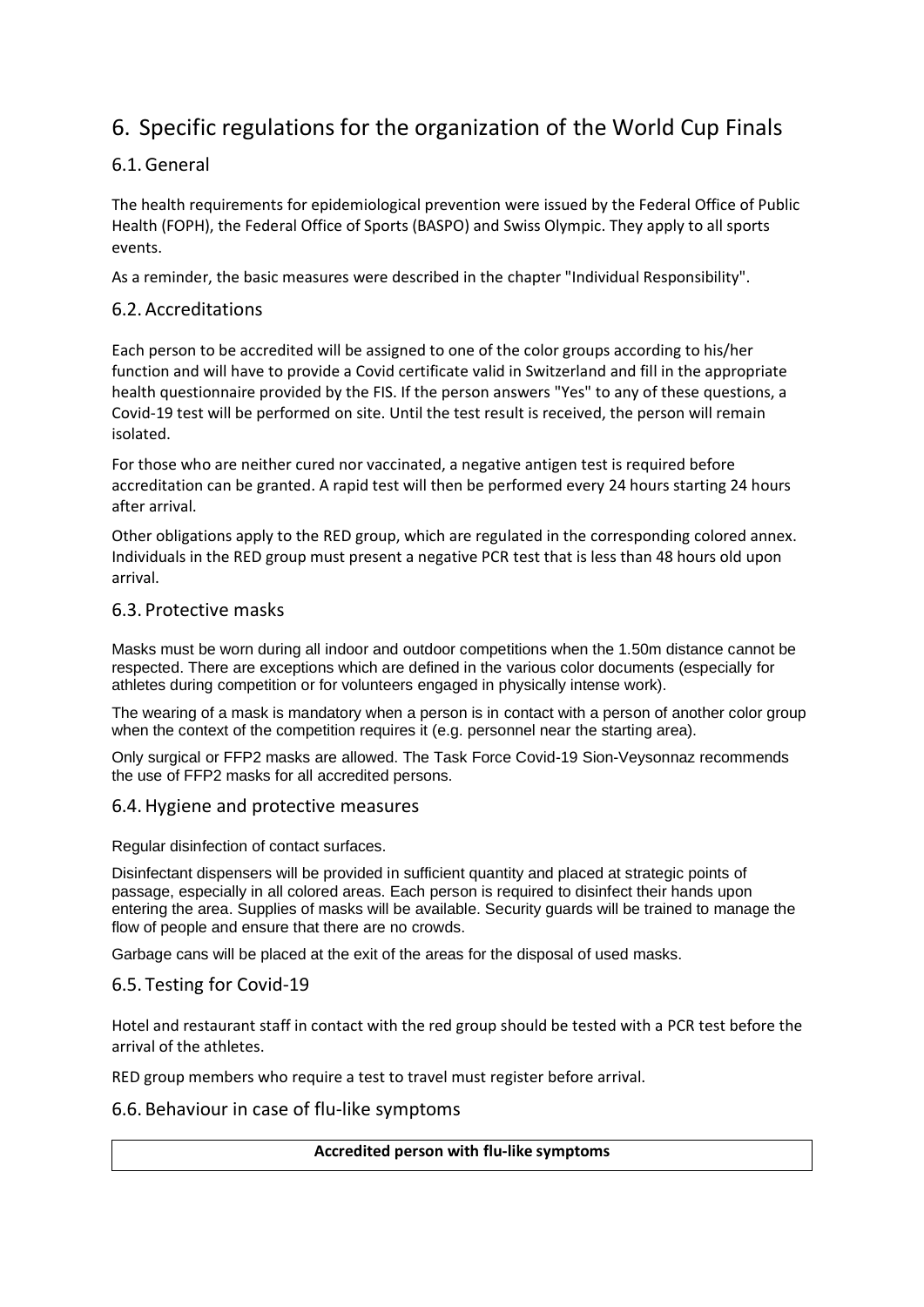## <span id="page-5-0"></span>6. Specific regulations for the organization of the World Cup Finals

#### <span id="page-5-1"></span>6.1.General

The health requirements for epidemiological prevention were issued by the Federal Office of Public Health (FOPH), the Federal Office of Sports (BASPO) and Swiss Olympic. They apply to all sports events.

As a reminder, the basic measures were described in the chapter "Individual Responsibility".

#### <span id="page-5-2"></span>6.2. Accreditations

Each person to be accredited will be assigned to one of the color groups according to his/her function and will have to provide a Covid certificate valid in Switzerland and fill in the appropriate health questionnaire provided by the FIS. If the person answers "Yes" to any of these questions, a Covid-19 test will be performed on site. Until the test result is received, the person will remain isolated.

For those who are neither cured nor vaccinated, a negative antigen test is required before accreditation can be granted. A rapid test will then be performed every 24 hours starting 24 hours after arrival.

Other obligations apply to the RED group, which are regulated in the corresponding colored annex. Individuals in the RED group must present a negative PCR test that is less than 48 hours old upon arrival.

#### <span id="page-5-3"></span>6.3. Protective masks

Masks must be worn during all indoor and outdoor competitions when the 1.50m distance cannot be respected. There are exceptions which are defined in the various color documents (especially for athletes during competition or for volunteers engaged in physically intense work).

The wearing of a mask is mandatory when a person is in contact with a person of another color group when the context of the competition requires it (e.g. personnel near the starting area).

Only surgical or FFP2 masks are allowed. The Task Force Covid-19 Sion-Veysonnaz recommends the use of FFP2 masks for all accredited persons.

#### <span id="page-5-4"></span>6.4.Hygiene and protective measures

Regular disinfection of contact surfaces.

Disinfectant dispensers will be provided in sufficient quantity and placed at strategic points of passage, especially in all colored areas. Each person is required to disinfect their hands upon entering the area. Supplies of masks will be available. Security guards will be trained to manage the flow of people and ensure that there are no crowds.

Garbage cans will be placed at the exit of the areas for the disposal of used masks.

#### <span id="page-5-5"></span>6.5. Testing for Covid-19

Hotel and restaurant staff in contact with the red group should be tested with a PCR test before the arrival of the athletes.

RED group members who require a test to travel must register before arrival.

#### <span id="page-5-6"></span>6.6. Behaviour in case of flu-like symptoms

#### **Accredited person with flu-like symptoms**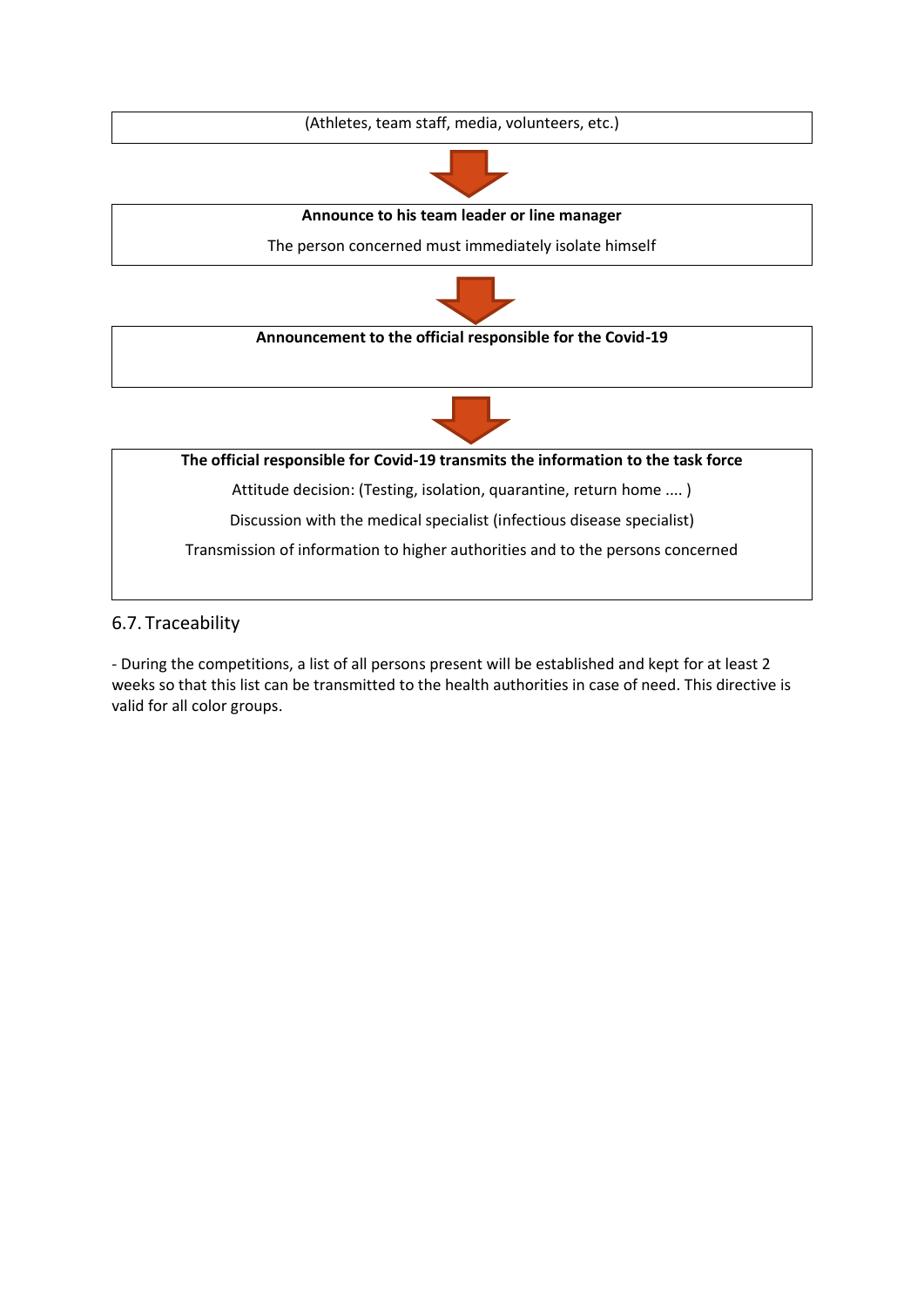(Athletes, team staff, media, volunteers, etc.)



**Announce to his team leader or line manager**

The person concerned must immediately isolate himself



**Announcement to the official responsible for the Covid-19**



**The official responsible for Covid-19 transmits the information to the task force**

Attitude decision: (Testing, isolation, quarantine, return home .... )

Discussion with the medical specialist (infectious disease specialist)

Transmission of information to higher authorities and to the persons concerned

#### <span id="page-6-0"></span>6.7. Traceability

- During the competitions, a list of all persons present will be established and kept for at least 2 weeks so that this list can be transmitted to the health authorities in case of need. This directive is valid for all color groups.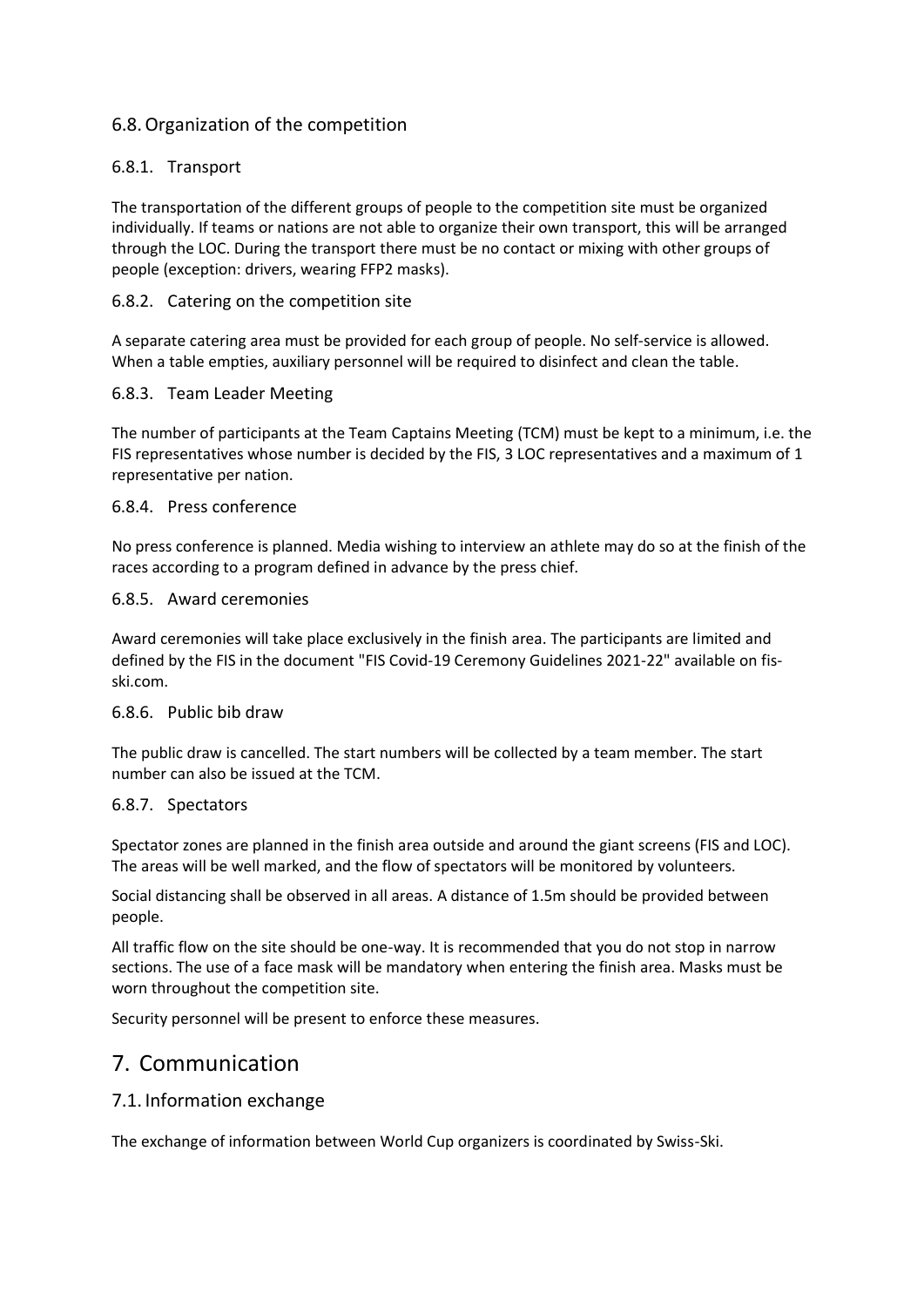#### <span id="page-7-0"></span>6.8.Organization of the competition

#### <span id="page-7-1"></span>6.8.1. Transport

The transportation of the different groups of people to the competition site must be organized individually. If teams or nations are not able to organize their own transport, this will be arranged through the LOC. During the transport there must be no contact or mixing with other groups of people (exception: drivers, wearing FFP2 masks).

#### <span id="page-7-2"></span>6.8.2. Catering on the competition site

A separate catering area must be provided for each group of people. No self-service is allowed. When a table empties, auxiliary personnel will be required to disinfect and clean the table.

#### <span id="page-7-3"></span>6.8.3. Team Leader Meeting

The number of participants at the Team Captains Meeting (TCM) must be kept to a minimum, i.e. the FIS representatives whose number is decided by the FIS, 3 LOC representatives and a maximum of 1 representative per nation.

#### <span id="page-7-4"></span>6.8.4. Press conference

No press conference is planned. Media wishing to interview an athlete may do so at the finish of the races according to a program defined in advance by the press chief.

#### 6.8.5. Award ceremonies

Award ceremonies will take place exclusively in the finish area. The participants are limited and defined by the FIS in the document "FIS Covid-19 Ceremony Guidelines 2021-22" available on fisski.com.

#### 6.8.6. Public bib draw

The public draw is cancelled. The start numbers will be collected by a team member. The start number can also be issued at the TCM.

#### <span id="page-7-5"></span>6.8.7. Spectators

Spectator zones are planned in the finish area outside and around the giant screens (FIS and LOC). The areas will be well marked, and the flow of spectators will be monitored by volunteers.

Social distancing shall be observed in all areas. A distance of 1.5m should be provided between people.

All traffic flow on the site should be one-way. It is recommended that you do not stop in narrow sections. The use of a face mask will be mandatory when entering the finish area. Masks must be worn throughout the competition site.

Security personnel will be present to enforce these measures.

### <span id="page-7-6"></span>7. Communication

#### <span id="page-7-7"></span>7.1. Information exchange

The exchange of information between World Cup organizers is coordinated by Swiss-Ski.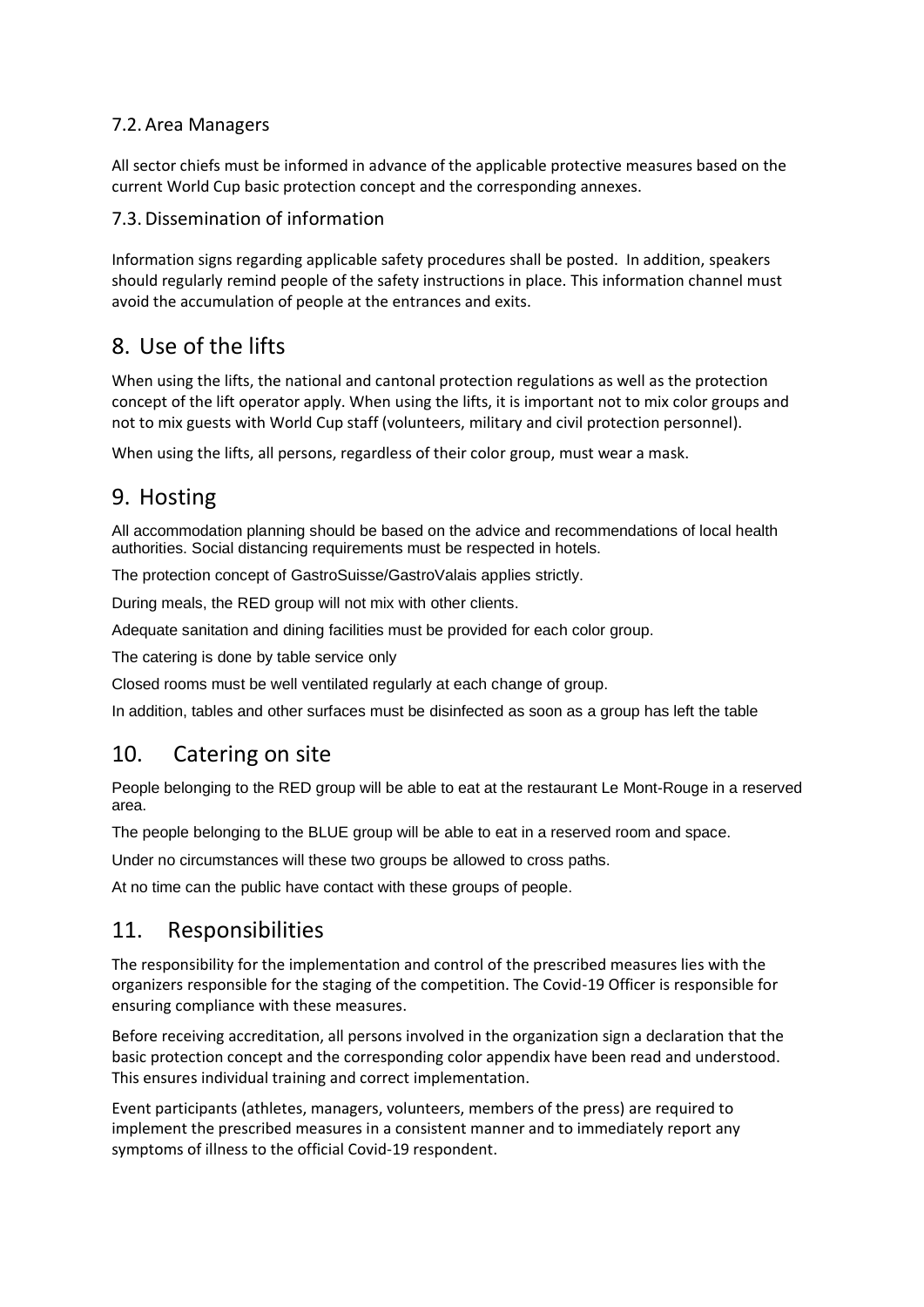#### <span id="page-8-0"></span>7.2. Area Managers

All sector chiefs must be informed in advance of the applicable protective measures based on the current World Cup basic protection concept and the corresponding annexes.

#### <span id="page-8-1"></span>7.3. Dissemination of information

Information signs regarding applicable safety procedures shall be posted. In addition, speakers should regularly remind people of the safety instructions in place. This information channel must avoid the accumulation of people at the entrances and exits.

## <span id="page-8-2"></span>8. Use of the lifts

When using the lifts, the national and cantonal protection regulations as well as the protection concept of the lift operator apply. When using the lifts, it is important not to mix color groups and not to mix guests with World Cup staff (volunteers, military and civil protection personnel).

When using the lifts, all persons, regardless of their color group, must wear a mask.

## <span id="page-8-3"></span>9. Hosting

All accommodation planning should be based on the advice and recommendations of local health authorities. Social distancing requirements must be respected in hotels.

The protection concept of GastroSuisse/GastroValais applies strictly.

During meals, the RED group will not mix with other clients.

Adequate sanitation and dining facilities must be provided for each color group.

The catering is done by table service only

Closed rooms must be well ventilated regularly at each change of group.

In addition, tables and other surfaces must be disinfected as soon as a group has left the table

## <span id="page-8-4"></span>10. Catering on site

People belonging to the RED group will be able to eat at the restaurant Le Mont-Rouge in a reserved area.

The people belonging to the BLUE group will be able to eat in a reserved room and space.

Under no circumstances will these two groups be allowed to cross paths.

At no time can the public have contact with these groups of people.

### <span id="page-8-5"></span>11. Responsibilities

The responsibility for the implementation and control of the prescribed measures lies with the organizers responsible for the staging of the competition. The Covid-19 Officer is responsible for ensuring compliance with these measures.

Before receiving accreditation, all persons involved in the organization sign a declaration that the basic protection concept and the corresponding color appendix have been read and understood. This ensures individual training and correct implementation.

Event participants (athletes, managers, volunteers, members of the press) are required to implement the prescribed measures in a consistent manner and to immediately report any symptoms of illness to the official Covid-19 respondent.